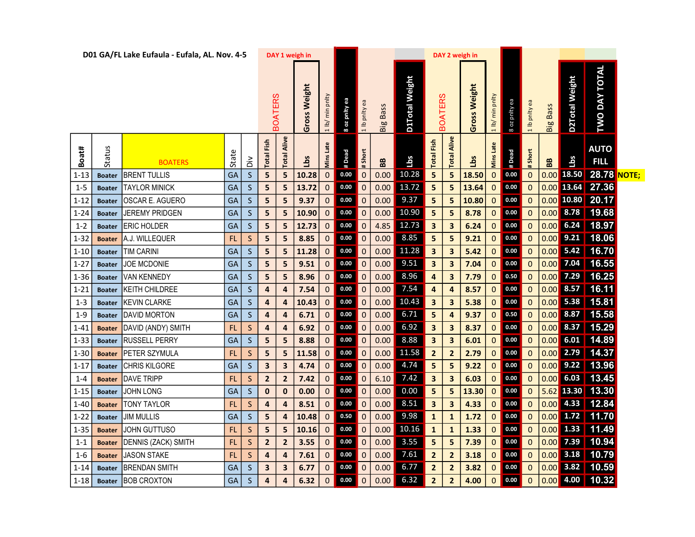|          |               | D01 GA/FL Lake Eufaula - Eufala, AL. Nov. 4-5 |           |              | DAY 1 weigh in       |                       |                      |               |               |                 |                       |       | DAY 2 weigh in          |                         |                             |               |                     |                 |                       |                      |                                                                                      |  |
|----------|---------------|-----------------------------------------------|-----------|--------------|----------------------|-----------------------|----------------------|---------------|---------------|-----------------|-----------------------|-------|-------------------------|-------------------------|-----------------------------|---------------|---------------------|-----------------|-----------------------|----------------------|--------------------------------------------------------------------------------------|--|
|          |               |                                               |           |              | <b>BOATERS</b>       | Gross Weight          | min pnlty<br>$1$ lb/ | 8 oz pnity ea | 1 lb pnity ea | <b>Big Bass</b> | <b>D1Total Weight</b> |       | <b>BOATERS</b>          | <b>Gross Weight</b>     | min pnlty<br>$\frac{1}{10}$ | 8 oz pnity ea | 1 lb pnlty ea       | <b>Big Bass</b> | <b>D2Total Weight</b> | <b>TWO DAY TOTAL</b> |                                                                                      |  |
| Boat#    | Status        | <b>BOATERS</b>                                | State     | š            | Fish<br><b>Total</b> | Alive<br><b>Total</b> | Lbs                  | Late<br>Mins  | #Dead         | # Short         | 88                    | Lbs   | <b>Total Fish</b>       | Alive<br>Total          | Lbs                         | Mins Late     | #Dead               | # Short         | 88                    | Lbs                  | <b>AUTO</b><br><b>FILL</b>                                                           |  |
| $1 - 13$ | <b>Boater</b> | <b>BRENT TULLIS</b>                           | GA        | $\mathsf{S}$ | ${\sf 5}$            | 5                     | 10.28                | $\mathbf{0}$  | $\bf 0.00$    | $\mathbf 0$     | 0.00                  | 10.28 | 5                       | 5                       | 18.50                       | $\pmb{0}$     | 0.00                | $\mathbf 0$     | 0.00                  |                      | 18.50 28.78 NOTE;                                                                    |  |
| $1 - 5$  | <b>Boater</b> | <b>TAYLOR MINICK</b>                          | GA        | <sub>S</sub> | 5                    | 5                     | 13.72                | $\mathbf 0$   | $0.00\,$      | $\mathbf{0}$    | 0.00                  | 13.72 | 5                       | 5                       | 13.64                       | $\pmb{0}$     | $\bf 0.00$          | $\overline{0}$  |                       |                      |                                                                                      |  |
| $1 - 12$ | <b>Boater</b> | OSCAR E. AGUERO                               | GA        | $\mathsf{S}$ | 5                    | 5                     | 9.37                 | $\mathbf 0$   | $0.00\,$      | $\mathbf{0}$    | 0.00                  | 9.37  | 5                       | 5                       | 10.80                       | $\mathbf 0$   | $\bf 0.00$          | $\mathbf 0$     |                       |                      | $\begin{array}{ c c c c c c c c c }\hline 0.00 & 10.80 & 20.17 \\\hline \end{array}$ |  |
| $1 - 24$ | <b>Boater</b> | <b>JEREMY PRIDGEN</b>                         | GA        | <sub>S</sub> | 5                    | 5                     | 10.90                | $\mathbf{0}$  | 0.00          | $\overline{0}$  | 0.00                  | 10.90 | $\overline{\mathbf{5}}$ | 5                       | 8.78                        | $\mathbf 0$   | $0.00\,$            | $\mathbf 0$     | 0.00                  |                      | 8.78 19.68                                                                           |  |
| $1 - 2$  | <b>Boater</b> | <b>ERIC HOLDER</b>                            | GA        | <sub>S</sub> | 5                    | 5                     | 12.73                | $\mathbf 0$   | $0.00\,$      | $\overline{0}$  | 4.85                  | 12.73 | $\overline{\mathbf{3}}$ | 3                       | 6.24                        | $\mathbf 0$   | $0.00\,$            | $\overline{0}$  | 0.00                  |                      | $6.24$ 18.97                                                                         |  |
| $1 - 32$ | <b>Boater</b> | A.J. WILLEQUER                                | FL        | S            | 5                    | 5                     | 8.85                 | 0             | $0.00\,$      | $\mathbf 0$     | 0.00                  | 8.85  | 5                       | 5                       | 9.21                        | $\pmb{0}$     | $0.00\,$            | $\mathbf 0$     | 0.00                  |                      | 9.21 18.06                                                                           |  |
| $1 - 10$ | <b>Boater</b> | <b>TIM CARINI</b>                             | GA        | <sub>S</sub> | 5                    | 5                     | 11.28                | $\mathbf{0}$  | $\bf 0.00$    | $\overline{0}$  | 0.00                  | 11.28 | $\overline{\mathbf{3}}$ | 3                       | 5.42                        | $\mathbf 0$   | 0.00                | $\mathbf 0$     | 0.00                  |                      | 5.42 16.70                                                                           |  |
| $1 - 27$ | <b>Boater</b> | JOE MCDONIE                                   | GA        | <sub>S</sub> | 5                    | 5                     | 9.51                 | $\mathbf 0$   | 0.00          | $\overline{0}$  | 0.00                  | 9.51  | $\overline{\mathbf{3}}$ | 3                       | 7.04                        | $\mathbf{0}$  | 0.00                | $\mathbf 0$     | 0.00                  |                      | 7.04 16.55                                                                           |  |
| 1-36     | <b>Boater</b> | VAN KENNEDY                                   | GA        | <sub>S</sub> | 5                    | 5                     | 8.96                 | $\mathbf 0$   | $0.00\,$      | $\mathbf{0}$    | 0.00                  | 8.96  | 4                       | 3                       | 7.79                        | $\mathbf 0$   | $\bf 0.50$          | $\mathbf 0$     | 0.00                  |                      | 7.29 16.25                                                                           |  |
| $1 - 21$ | <b>Boater</b> | KEITH CHILDREE                                | GA        | <sub>S</sub> | 4                    | 4                     | 7.54                 | $\mathbf{0}$  | $0.00\,$      | $\overline{0}$  | 0.00                  | 7.54  | 4                       | 4                       | 8.57                        | $\mathbf 0$   | $0.00\,$            | $\overline{0}$  | 0.00                  |                      | 8.57 16.11                                                                           |  |
| $1 - 3$  | <b>Boater</b> | <b>KEVIN CLARKE</b>                           | GА        | <sub>S</sub> | 4                    | 4                     | 10.43                | $\mathbf 0$   | 0.00          | $\overline{0}$  | 0.00                  | 10.43 | $\overline{\mathbf{3}}$ | 3                       | 5.38                        | $\mathbf 0$   | 0.00                | $\mathbf 0$     | 0.00                  |                      | 5.38 15.81                                                                           |  |
| $1-9$    | <b>Boater</b> | <b>DAVID MORTON</b>                           | GA        | $\mathsf{S}$ | 4                    | 4                     | 6.71                 | $\mathbf 0$   | $\bf 0.00$    | $\mathbf 0$     | 0.00                  | 6.71  | 5                       | 4                       | 9.37                        | $\pmb{0}$     | $\bf 0.50$          | $\mathbf 0$     | 0.00                  |                      | 8.87 15.58                                                                           |  |
| 1-41     | <b>Boater</b> | DAVID (ANDY) SMITH                            | <b>FL</b> | <sub>S</sub> | 4                    | 4                     | 6.92                 | $\mathbf{0}$  | $\bf 0.00$    | $\overline{0}$  | 0.00                  | 6.92  | $\overline{\mathbf{3}}$ | 3                       | 8.37                        | $\pmb{0}$     | $\boldsymbol{0.00}$ | $\mathbf{0}$    | 0.00                  |                      | 8.37 15.29                                                                           |  |
| $1 - 33$ | <b>Boater</b> | <b>RUSSELL PERRY</b>                          | GA        | <sub>S</sub> | 5                    | 5                     | 8.88                 | $\mathbf 0$   | 0.00          | $\overline{0}$  | 0.00                  | 8.88  | $\mathbf{3}$            | 3                       | 6.01                        | $\pmb{0}$     | 0.00                | $\mathbf 0$     | 0.00                  |                      | 6.01 14.89                                                                           |  |
| 1-30     | <b>Boater</b> | PETER SZYMULA                                 | FL        | <sub>S</sub> | 5                    | 5                     | 11.58                | $\mathbf 0$   | $0.00\,$      | $\mathbf{0}$    | 0.00                  | 11.58 | $\overline{2}$          | $\mathbf{2}$            | 2.79                        | $\mathbf 0$   | $\bf 0.00$          | $\mathbf 0$     | 0.00                  |                      | 2.79 14.37                                                                           |  |
| $1 - 17$ | <b>Boater</b> | CHRIS KILGORE                                 | GA        | <sub>S</sub> | 3                    | 3                     | 4.74                 | $\mathbf 0$   | $0.00\,$      | $\overline{0}$  | 0.00                  | 4.74  | 5                       | 5                       | 9.22                        | $\mathbf 0$   | $\bf 0.00$          | $\overline{0}$  | 0.00                  |                      | 9.22 13.96                                                                           |  |
| $1 - 4$  | <b>Boater</b> | <b>DAVE TRIPP</b>                             | <b>FL</b> | <sub>S</sub> | $\overline{2}$       | $\overline{2}$        | 7.42                 | 0             | 0.00          | $\mathbf 0$     | 6.10                  | 7.42  | $\overline{\mathbf{3}}$ | $\overline{\mathbf{3}}$ | 6.03                        | $\mathbf 0$   | 0.00                | $\overline{0}$  | 0.00                  |                      | $6.03$ 13.45                                                                         |  |
| $1 - 15$ | <b>Boater</b> | <b>JOHN LONG</b>                              | GA        | $\mathsf{S}$ | $\mathbf 0$          | $\bf{0}$              | 0.00                 | $\mathbf 0$   | $\bf 0.00$    | $\overline{0}$  | 0.00                  | 0.00  | 5                       | 5                       | 13.30                       | $\mathbf 0$   | $_{0.00}$           | $\mathbf 0$     | 5.62                  |                      | 13.30 13.30                                                                          |  |
| $1 - 40$ | <b>Boater</b> | <b>TONY TAYLOR</b>                            | FL        | <sub>S</sub> | 4                    | 4                     | 8.51                 | $\pmb{0}$     | $0.00\,$      | $\overline{0}$  | 0.00                  | 8.51  | $\overline{\mathbf{3}}$ | 3                       | 4.33                        | $\mathbf 0$   | $\bf 0.00$          | $\mathbf 0$     | 0.00                  |                      | 4.33 12.84                                                                           |  |
| $1 - 22$ | <b>Boater</b> | <b>JIM MULLIS</b>                             | GA        | $\mathsf{S}$ | 5                    | 4                     | 10.48                | $\mathbf 0$   | 0.50          | $\overline{0}$  | 0.00                  | 9.98  | $\mathbf{1}$            | $\mathbf{1}$            | 1.72                        | $\pmb{0}$     | 0.00                | $\mathbf 0$     | 0.00                  |                      | 1.72 11.70                                                                           |  |
| $1 - 35$ | <b>Boater</b> | <b>JOHN GUTTUSO</b>                           | FL        | <sub>S</sub> | 5                    | 5                     | 10.16                | $\mathbf{0}$  | $0.00\,$      | $\overline{0}$  | 0.00                  | 10.16 | $\mathbf{1}$            | $\mathbf{1}$            | 1.33                        | $\mathbf 0$   | $\boldsymbol{0.00}$ | $\mathbf{0}$    |                       |                      | $\begin{array}{ c c c c c c c c c } \hline 0.00 & 1.33 & 11.49 \hline \end{array}$   |  |
| $1 - 1$  | <b>Boater</b> | DENNIS (ZACK) SMITH                           | <b>FL</b> | <sub>S</sub> | $\mathbf{2}$         | $\mathbf{2}$          | 3.55                 | $\mathbf 0$   | $0.00\,$      | $\overline{0}$  | 0.00                  | 3.55  | 5                       | 5                       | 7.39                        | $\bf{0}$      | $0.00\,$            | $\mathbf 0$     | 0.00                  |                      | 7.39 10.94                                                                           |  |
| 1-6      | <b>Boater</b> | <b>JASON STAKE</b>                            | FL        | <sub>S</sub> | 4                    | 4                     | 7.61                 | $\mathbf 0$   | $\bf 0.00$    | $\mathbf 0$     | 0.00                  | 7.61  | $\overline{\mathbf{2}}$ | $\overline{2}$          | 3.18                        | $\mathbf 0$   | $0.00\,$            | $\mathbf 0$     | 0.00                  |                      | 3.18 10.79                                                                           |  |
| $1 - 14$ | <b>Boater</b> | <b>BRENDAN SMITH</b>                          | GA        | <sub>S</sub> | 3                    | 3                     | 6.77                 | $\mathbf{0}$  | $0.00\,$      | $\mathbf 0$     | 0.00                  | 6.77  | $\overline{2}$          | $\overline{2}$          | 3.82                        | $\mathbf 0$   | $_{0.00}$           | $\mathbf{0}$    |                       |                      | $\begin{array}{ c c c c c c c c } \hline 0.00 & 3.82 & 10.59 \hline \end{array}$     |  |
| 1-18     |               | Boater BOB CROXTON                            | GA        | $\mathsf{S}$ | 4                    | 4                     | 6.32                 | $\mathbf 0$   | 0.00          | $\mathbf 0$     | 0.00                  | 6.32  | $\overline{\mathbf{2}}$ | 2                       | 4.00                        | $\pmb{0}$     | $0.00\,$            | $\mathbf{0}$    |                       |                      | $\begin{array}{ c c c c c c c c c } \hline 0.00 & 4.00 & 10.32 \hline \end{array}$   |  |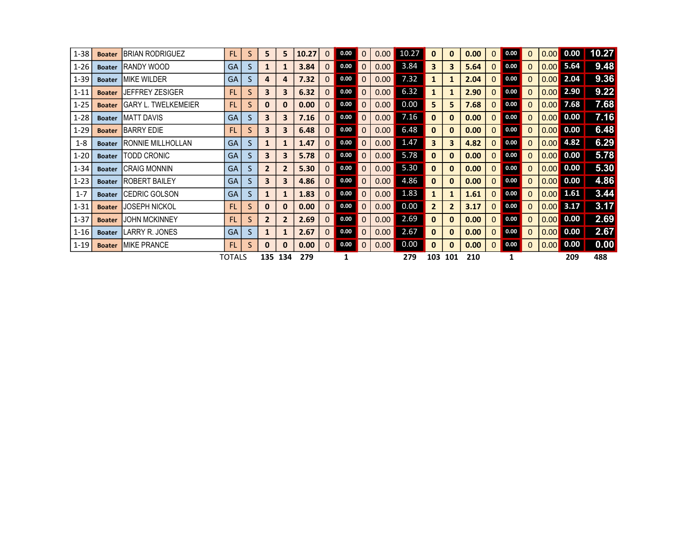| $1 - 38$ | <b>Boater</b> | <b>BRIAN RODRIGUEZ</b>     | <b>FL</b>     | S  | 5              | 5              | 10.27 | $\Omega$     | 0.00 |          | 0.00 <sub>1</sub> | 10.27 | 0              | $\mathbf{0}$            | 0.00 | 0            | 0.00 | 0 | 0.001 | 0.00 | 10.27 |
|----------|---------------|----------------------------|---------------|----|----------------|----------------|-------|--------------|------|----------|-------------------|-------|----------------|-------------------------|------|--------------|------|---|-------|------|-------|
| $1 - 26$ | <b>Boater</b> | IRANDY WOOD                | GA            | S  | 1              | $\mathbf{1}$   | 3.84  | $\Omega$     | 0.00 |          | 0.00              | 3.84  | 3              | $\overline{\mathbf{3}}$ | 5.64 | $\mathbf{0}$ | 0.00 | 0 | 0.00  | 5.64 | 9.48  |
| $1 - 39$ | <b>Boater</b> | <b>MIKE WILDER</b>         | GA            | S  | 4              | 4              | 7.32  | $\Omega$     | 0.00 |          | 0.00              | 7.32  | 1              | $\mathbf{1}$            | 2.04 | 0            | 0.00 | 0 | 0.00  | 2.04 | 9.36  |
| $1 - 11$ | <b>Boater</b> | <b>JEFFREY ZESIGER</b>     | <b>FL</b>     | S. | 3              | 3              | 6.32  | $\Omega$     | 0.00 |          | 0.00              | 6.32  | 1              | $\mathbf{1}$            | 2.90 | 0            | 0.00 | 0 | 0.00  | 2.90 | 9.22  |
| $1 - 25$ | <b>Boater</b> | <b>GARY L. TWELKEMEIER</b> | <b>FL</b>     | S  | $\bf{0}$       | 0              | 0.00  | $\Omega$     | 0.00 |          | 0.00              | 0.00  | 5.             | 5                       | 7.68 | $\Omega$     | 0.00 | 0 | 0.001 | 7.68 | 7.68  |
| $1 - 28$ | <b>Boater</b> | <b>MATT DAVIS</b>          | GA            | S  | 3              | 3              | 7.16  | $\Omega$     | 0.00 |          | 0.00              | 7.16  | 0              | $\mathbf{0}$            | 0.00 | 0            | 0.00 | 0 | 0.001 | 0.00 | 7.16  |
| $1 - 29$ | <b>Boater</b> | <b>BARRY EDIE</b>          | <b>FL</b>     | S  | 3              | 3              | 6.48  | $\Omega$     | 0.00 |          | 0.00              | 6.48  | 0              | $\mathbf{0}$            | 0.00 | $\Omega$     | 0.00 | 0 | 0.00  | 0.00 | 6.48  |
| $1 - 8$  | <b>Boater</b> | RONNIE MILLHOLLAN          | <b>GA</b>     | S  | 1              | 1              | 1.47  | $\mathbf 0$  | 0.00 |          | 0.00              | 1.47  | 3              | 3                       | 4.82 | 0            | 0.00 | 0 | 0.00  | 4.82 | 6.29  |
| $1 - 20$ | <b>Boater</b> | <b>TODD CRONIC</b>         | <b>GA</b>     | S  | 3              | 3              | 5.78  | $\Omega$     | 0.00 |          | 0.00              | 5.78  | 0              | $\mathbf{0}$            | 0.00 | $\Omega$     | 0.00 | 0 | 0.00  | 0.00 | 5.78  |
| $1 - 34$ | <b>Boater</b> | ICRAIG MONNIN              | <b>GA</b>     | S  | $\overline{2}$ | $\overline{2}$ | 5.30  | $\Omega$     | 0.00 |          | 0.00              | 5.30  | 0              | $\mathbf{0}$            | 0.00 | $\Omega$     | 0.00 | 0 | 0.001 | 0.00 | 5.30  |
| $1 - 23$ | <b>Boater</b> | <b>IROBERT BAILEY</b>      | GA            | S  | 3              | 3              | 4.86  | $\Omega$     | 0.00 |          | 0.00              | 4.86  | $\bf{0}$       | $\mathbf{0}$            | 0.00 | 0            | 0.00 | 0 | 0.001 | 0.00 | 4.86  |
| $1 - 7$  | <b>Boater</b> | ICEDRIC GOLSON             | <b>GA</b>     | S  | 1              | $\mathbf{1}$   | 1.83  | $\Omega$     | 0.00 |          | 0.00              | 1.83  | $\mathbf{1}$   | $\mathbf{1}$            | 1.61 | $\Omega$     | 0.00 | 0 | 0.00  | 1.61 | 3.44  |
| $1 - 31$ | <b>Boater</b> | <b>JOSEPH NICKOL</b>       | <b>FL</b>     | S  | 0              | 0              | 0.00  | $\Omega$     | 0.00 |          | 0.00              | 0.00  | $\overline{2}$ | $\overline{2}$          | 3.17 | 0            | 0.00 | 0 | 0.00  | 3.17 | 3.17  |
| $1 - 37$ | <b>Boater</b> | <b>JOHN MCKINNEY</b>       | <b>FL</b>     | S. | $\overline{2}$ | $\overline{2}$ | 2.69  | $\mathbf{0}$ | 0.00 |          | 0.00              | 2.69  | 0              | $\mathbf{0}$            | 0.00 | $\Omega$     | 0.00 | 0 | 0.00  | 0.00 | 2.69  |
| $1 - 16$ | <b>Boater</b> | LARRY R. JONES             | <b>GA</b>     | S. | $\mathbf{1}$   | $\mathbf{1}$   | 2.67  | $\mathbf{0}$ | 0.00 |          | 0.00 <sub>1</sub> | 2.67  | 0              | $\mathbf{0}$            | 0.00 | $\Omega$     | 0.00 | 0 | 0.001 | 0.00 | 2.67  |
| $1 - 19$ | <b>Boater</b> | <b>MIKE PRANCE</b>         | <b>FL</b>     | S  | 0              | 0              | 0.00  | $\Omega$     | 0.00 | $\Omega$ | 0.00              | 0.00  | $\bf{0}$       | $\mathbf{0}$            | 0.00 | 0            | 0.00 | 0 | 0.00  | 0.00 | 0.00  |
|          |               |                            | <b>TOTALS</b> |    | 135            | 134            | 279   |              |      |          |                   | 279   | 103            | 101                     | 210  |              |      |   |       | 209  | 488   |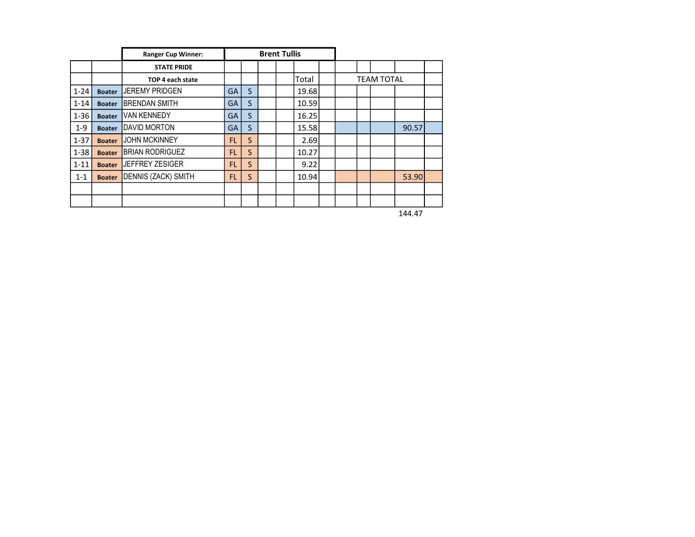|          |               | <b>Ranger Cup Winner:</b>  |           |   | <b>Brent Tullis</b> |       |  |  |                   |       |  |
|----------|---------------|----------------------------|-----------|---|---------------------|-------|--|--|-------------------|-------|--|
|          |               | <b>STATE PRIDE</b>         |           |   |                     |       |  |  |                   |       |  |
|          |               | TOP 4 each state           |           |   |                     | Total |  |  | <b>TEAM TOTAL</b> |       |  |
| $1 - 24$ | <b>Boater</b> | <b>JEREMY PRIDGEN</b>      | <b>GA</b> | S |                     | 19.68 |  |  |                   |       |  |
| $1 - 14$ | <b>Boater</b> | <b>BRENDAN SMITH</b>       | <b>GA</b> | S |                     | 10.59 |  |  |                   |       |  |
| $1 - 36$ | <b>Boater</b> | <b>VAN KENNEDY</b>         | <b>GA</b> | S |                     | 16.25 |  |  |                   |       |  |
| $1 - 9$  | <b>Boater</b> | <b>DAVID MORTON</b>        | <b>GA</b> | S |                     | 15.58 |  |  |                   | 90.57 |  |
| $1 - 37$ | <b>Boater</b> | <b>JOHN MCKINNEY</b>       | FL.       | S |                     | 2.69  |  |  |                   |       |  |
| $1 - 38$ | <b>Boater</b> | <b>BRIAN RODRIGUEZ</b>     | FL.       | S |                     | 10.27 |  |  |                   |       |  |
| $1 - 11$ | <b>Boater</b> | <b>JEFFREY ZESIGER</b>     | <b>FL</b> | S |                     | 9.22  |  |  |                   |       |  |
| $1 - 1$  | <b>Boater</b> | <b>DENNIS (ZACK) SMITH</b> | FL.       | S |                     | 10.94 |  |  |                   | 53.90 |  |
|          |               |                            |           |   |                     |       |  |  |                   |       |  |
|          |               |                            |           |   |                     |       |  |  |                   |       |  |

144.47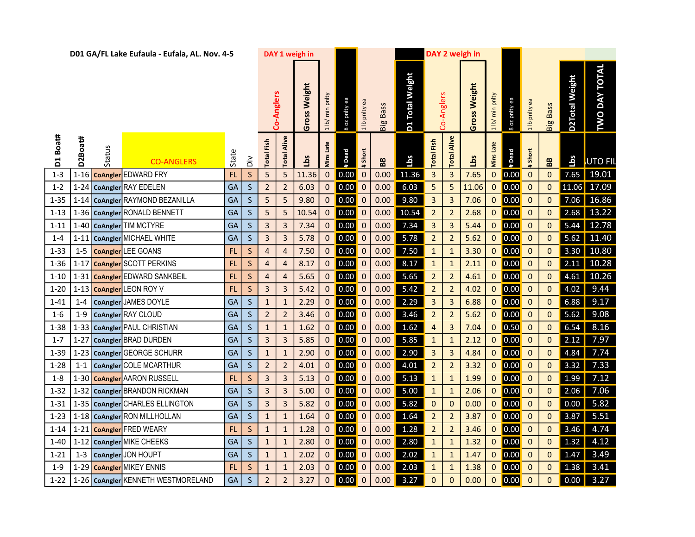|          |          |               | D01 GA/FL Lake Eufaula - Eufala, AL. Nov. 4-5 |           |              |                      |                | DAY 1 weigh in |                               |                                                         |                  |                 |                 |                         |                | DAY 2 weigh in |                 |                    |               |                  |                       |                          |
|----------|----------|---------------|-----------------------------------------------|-----------|--------------|----------------------|----------------|----------------|-------------------------------|---------------------------------------------------------|------------------|-----------------|-----------------|-------------------------|----------------|----------------|-----------------|--------------------|---------------|------------------|-----------------------|--------------------------|
|          |          |               |                                               |           |              |                      | Co-Anglers     | Gross Weight   | min pnlty<br>$1 \, \text{lb}$ | 8 oz pnity ea                                           | 1 lb pnity ea    | <b>Big Bass</b> | D1 Total Weight |                         | Co-Anglers     | Gross Weight   | 1 lb/ min pnlty | 8 oz pnity ea      | 1 lb pnity ea | <b>Big Bass</b>  | <b>D2Total Weight</b> | <b>TWO DAY TOTAL</b>     |
| D1 Boat# | D2Boat#  | Status        | <b>CO-ANGLERS</b>                             | State     | ăά           | Fish<br><b>Total</b> | Alive<br>Total | Lbs            | Mins Late                     | # Dead                                                  | #Short           | 88              | Lbs             | Fish<br>Total           | Alive<br>Total | <u>Sq</u>      | Mins Late       | # Dead             | #Short        | BB               | 16s                   | <b>UTO FIL</b>           |
| $1 - 3$  |          | 1-16 CoAngler | <b>EDWARD FRY</b>                             | FL        | $\mathsf{S}$ | 5                    | 5              | 11.36          | $\mathbf 0$                   | 0.00                                                    | $\mathbf 0$      | 0.00            | 11.36           | $\overline{\mathbf{3}}$ | 3              | 7.65           | $\mathbf{0}$    | 0.00               | $\mathbf 0$   | $\pmb{0}$        |                       | $7.65$ 19.01             |
| $1 - 2$  |          |               | 1-24 CoAngler RAY EDELEN                      | GA        | $\mathsf{S}$ | $\overline{2}$       | $\overline{2}$ | 6.03           | $\mathbf 0$                   | $\vert 0.00 \vert$                                      | $\mathbf 0$      | 0.00            | 6.03            | $-5$                    | 5              | 11.06          | $\mathbf{0}$    | 0.00               | $\mathbf 0$   | $\mathbf 0$      |                       | 11.06 17.09              |
| $1 - 35$ |          |               | 1-14   CoAngler   RAYMOND BEZANILLA           | GA        | $\mathsf{S}$ | 5                    | 5              | 9.80           | $\mathbf 0$                   | $\vert$ 0.00 $\vert$                                    | $\mathbf 0$      | 0.00            | 9.80            | $\overline{\mathbf{3}}$ | $\overline{3}$ | 7.06           | $\mathbf{0}$    | $\vert 0.00 \vert$ | $\mathbf 0$   | 0                |                       | $7.06$ 16.86             |
| $1 - 13$ |          |               | 1-36   CoAngler   RONALD BENNETT              | GA        | <sub>S</sub> | 5                    | 5              | 10.54          | $\mathbf{0}$                  | 0.00                                                    | $\boldsymbol{0}$ | 0.00            | 10.54           | $\overline{2}$          | $\overline{2}$ | 2.68           | $\mathbf{0}$    | 0.00               | $\mathbf 0$   | 0                |                       | $2.68$ 13.22             |
| $1 - 11$ |          |               | 1-40 CoAngler TIM MCTYRE                      | GA        | <sub>S</sub> | 3                    | 3              | 7.34           | 0                             | 0.00                                                    | $\mathbf 0$      | 0.00            | 7.34            | $\mathbf{3}$            | 3              | 5.44           | 0               | 0.00               | $\mathbf 0$   | 0                | 5.44                  | 12.78                    |
| $1 - 4$  | $1 - 11$ |               | CoAngler MICHAEL WHITE                        | GA        | $\mathsf{S}$ | 3                    | 3              | 5.78           | 0                             | 0.00                                                    | $\mathbf 0$      | 0.00            | 5.78            | $\overline{2}$          | $\overline{2}$ | 5.62           | 0               | $\vert$ 0.00       | $\mathbf 0$   | $\mathbf 0$      |                       | $5.62$ 11.40             |
| $1 - 33$ | $1 - 5$  |               | <b>CoAngler</b> LEE GOANS                     | FL        | $\mathsf S$  | $\overline{4}$       | $\overline{4}$ | 7.50           | $\mathbf{0}$                  | $\vert 0.00 \vert$                                      | $\mathbf 0$      | 0.00            | 7.50            | $\mathbf{1}$            | $\mathbf{1}$   | 3.30           | $\mathbf{0}$    | 0.00               | $\mathbf 0$   | $\mathbf 0$      | 3.30                  | 10.80                    |
| $1 - 36$ |          |               | 1-17   CoAngler SCOTT PERKINS                 | FL        | $\mathsf{S}$ | $\overline{4}$       | $\overline{4}$ | 8.17           | $\mathbf{0}$                  | $\begin{array}{ c c c }\n\hline\n0.00 & 0\n\end{array}$ |                  | 0.00            | 8.17            | $\mathbf{1}$            | $\mathbf{1}$   | 2.11           | $\mathbf{0}$    | 0.00               | $\mathbf 0$   | $\mathbf 0$      |                       | $2.11 \overline{)10.28}$ |
| $1 - 10$ |          |               | 1-31 CoAngler EDWARD SANKBEIL                 | FL.       | $\mathsf{S}$ | 4                    | 4              | 5.65           | $\mathbf 0$                   | $\vert 0.00 \vert$                                      | $\mathbf 0$      | 0.00            | 5.65            | $\overline{2}$          | $\overline{2}$ | 4.61           | $\mathbf 0$     | $\vert 0.00 \vert$ | $\mathbf 0$   | 0                |                       | $4.61$ 10.26             |
| $1 - 20$ |          |               | 1-13 CoAngler LEON ROY V                      | FL        | <sub>S</sub> | 3                    | 3              | 5.42           | 0                             | 0.00                                                    | $\mathbf 0$      | 0.00            | 5.42            | $\overline{2}$          | $\overline{2}$ | 4.02           | $\mathbf{0}$    | 0.00               | $\mathbf 0$   | $\mathbf 0$      | 4.02                  | 9.44                     |
| $1 - 41$ | $1 - 4$  |               | CoAngler JAMES DOYLE                          | GA        | <sub>S</sub> | $\mathbf{1}$         | $\mathbf{1}$   | 2.29           | $\mathbf{0}$                  | 0.00                                                    | $\mathbf 0$      | 0.00            | 2.29            | $\overline{3}$          | $\overline{3}$ | 6.88           | $\mathbf{0}$    | 0.00               | $\mathbf 0$   | $\mathbf{0}$     | 6.88                  | 9.17                     |
| $1 - 6$  | $1 - 9$  |               | CoAngler RAY CLOUD                            | GA        | $\mathsf{S}$ | $\overline{2}$       | $\overline{2}$ | 3.46           | $\mathbf{0}$                  | 0.00                                                    | $\mathbf 0$      | 0.00            | 3.46            | $\overline{2}$          | $\overline{2}$ | 5.62           | $\mathbf{0}$    | 0.00               | $\mathbf 0$   | 0                | 5.62                  | 9.08                     |
| $1 - 38$ |          |               | 1-33 CoAngler PAUL CHRISTIAN                  | GA        | $\mathsf{S}$ | $\mathbf{1}$         | $\mathbf{1}$   | 1.62           | $\mathbf{0}$                  | $\vert$ 0.00 $\vert$                                    | $\mathbf 0$      | 0.00            | 1.62            | $\overline{4}$          | 3              | 7.04           | $\mathbf{0}$    | $\vert$ 0.50       | $\mathbf 0$   | $\mathbf 0$      | 6.54                  | 8.16                     |
| $1 - 7$  | $1 - 27$ |               | CoAngler BRAD DURDEN                          | <b>GA</b> | $\mathsf{S}$ | $\mathsf{3}$         | $\mathsf{3}$   | 5.85           | $\mathbf 0$                   | $\vert$ 0.00 $\vert$                                    | $\mathbf 0$      | 0.00            | 5.85            | $\mathbf{1}$            | $\mathbf{1}$   | 2.12           | $\mathbf{0}$    | $\vert 0.00 \vert$ | $\mathbf 0$   | 0                | 2.12                  | 7.97                     |
| $1 - 39$ | $1 - 23$ |               | CoAngler GEORGE SCHURR                        | GA        | <sub>S</sub> | $\mathbf{1}$         | $\mathbf{1}$   | 2.90           | $\mathbf{0}$                  | 0.00                                                    | $\mathbf 0$      | 0.00            | 2.90            | $\overline{3}$          | 3              | 4.84           | $\mathbf{0}$    | 0.00               | $\mathbf 0$   | 0                | 4.84                  | 7.74                     |
| $1 - 28$ | $1 - 1$  |               | CoAngler COLE MCARTHUR                        | GA        | <sub>S</sub> | $\overline{2}$       | $\overline{2}$ | 4.01           | 0                             | 0.00                                                    | $\mathbf 0$      | 0.00            | 4.01            | $\overline{2}$          | $\overline{2}$ | 3.32           | 0               | 0.00               | $\mathbf 0$   | 0                | 3.32                  | 7.33                     |
| $1-8$    |          |               | 1-30 CoAngler AARON RUSSELL                   | FL        | $\mathsf S$  | 3                    | 3              | 5.13           | 0                             | 0.00                                                    | $\mathbf 0$      | 0.00            | 5.13            | $\mathbf{1}$            | $\mathbf{1}$   | 1.99           | 0               | $\vert$ 0.00       | $\mathbf 0$   | $\mathbf 0$      | 1.99                  | 7.12                     |
| $1 - 32$ |          |               | 1-32 CoAngler BRANDON RICKMAN                 | GA        | $\mathsf{S}$ | $\overline{3}$       | $\overline{3}$ | 5.00           | $\mathbf{0}$                  | $\vert 0.00 \vert$                                      | $\mathbf 0$      | 0.00            | 5.00            | $\mathbf{1}$            | $\mathbf{1}$   | 2.06           | $\mathbf{0}$    | 0.00               | $\mathbf 0$   | $\mathbf 0$      | 2.06                  | 7.06                     |
| $1 - 31$ |          |               | 1-35 CoAngler CHARLES ELLINGTON               | GA        | $\mathsf{S}$ | $\mathsf{3}$         | $\mathsf{3}$   | 5.82           | $\mathbf 0$                   | $\begin{array}{ c c c }\n\hline\n0.00 & 0\n\end{array}$ |                  | 0.00            | 5.82            | $\overline{\mathbf{0}}$ | $\mathbf 0$    | 0.00           | $\mathbf{0}$    | 0.00               | $\mathbf 0$   | $\mathbf 0$      | 0.00                  | 5.82                     |
| $1 - 23$ |          |               | 1-18 CoAngler RON MILLHOLLAN                  | GA        | $\mathsf{S}$ | $\mathbf{1}$         | $\mathbf{1}$   | 1.64           | $\mathbf 0$                   | $\vert 0.00 \vert$                                      | $\mathbf 0$      | 0.00            | 1.64            | $\overline{2}$          | 2              | 3.87           | $\mathbf{0}$    | $\vert 0.00 \vert$ | $\mathbf 0$   | $\boldsymbol{0}$ | 3.87                  | 5.51                     |
| $1 - 14$ |          |               | 1-21 CoAngler FRED WEARY                      | FL.       | <sub>S</sub> | $\mathbf{1}$         | $\mathbf{1}$   | 1.28           | $\mathbf{0}$                  | $\vert 0.00 \vert$                                      | $\mathbf 0$      | 0.00            | 1.28            | $\overline{2}$          | $\overline{2}$ | 3.46           | $\mathbf 0$     | 0.00               | $\mathbf 0$   | $\mathbf{0}$     | 3.46                  | 4.74                     |
| 1-40     | $1 - 12$ |               | CoAngler MIKE CHEEKS                          | GA        | <sub>S</sub> | $\mathbf{1}$         | $\mathbf{1}$   | 2.80           | $\mathbf{0}$                  | $\vert 0.00 \vert$                                      | $\mathbf 0$      | 0.00            | 2.80            | $\mathbf{1}$            | $\mathbf{1}$   | 1.32           | $\mathbf{0}$    | $\vert$ 0.00       | $\mathbf 0$   | $\mathbf{0}$     | 1.32                  | 4.12                     |
| $1 - 21$ | $1 - 3$  |               | CoAngler JON HOUPT                            | <b>GA</b> | $\mathsf{S}$ | $\mathbf{1}$         | $\mathbf{1}$   | 2.02           | 0                             | $\vert 0.00 \vert$                                      | $\mathbf 0$      | 0.00            | 2.02            | $\mathbf{1}$            | $\mathbf{1}$   | 1.47           | $\mathbf{0}$    | $\vert$ 0.00       | $\mathbf 0$   | 0                | 1.47                  | 3.49                     |
| $1 - 9$  |          |               | 1-29 CoAngler MIKEY ENNIS                     | FL        | $\mathsf{S}$ | $\mathbf{1}$         | $\mathbf{1}$   | 2.03           | $\mathbf 0$                   | $\vert 0.00 \vert$                                      | $\mathbf 0$      | 0.00            | 2.03            | $\mathbf{1}$            | $\mathbf{1}$   | 1.38           | $\mathbf{0}$    | 0.00               | $\mathbf 0$   | 0                | 1.38                  | 3.41                     |
|          |          |               | 1-22   1-26   CoAngler KENNETH WESTMORELAND   | GA        | $\mathsf{S}$ | $\overline{2}$       | $\overline{2}$ | 3.27           | $\mathbf 0$                   | 0.00 0                                                  |                  | 0.00            | 3.27            | $\mathbf{0}$            | $\mathbf 0$    | 0.00           | $\overline{0}$  | $\vert$ 0.00       | $\mathbf{0}$  | 0                |                       | $0.00$ 3.27              |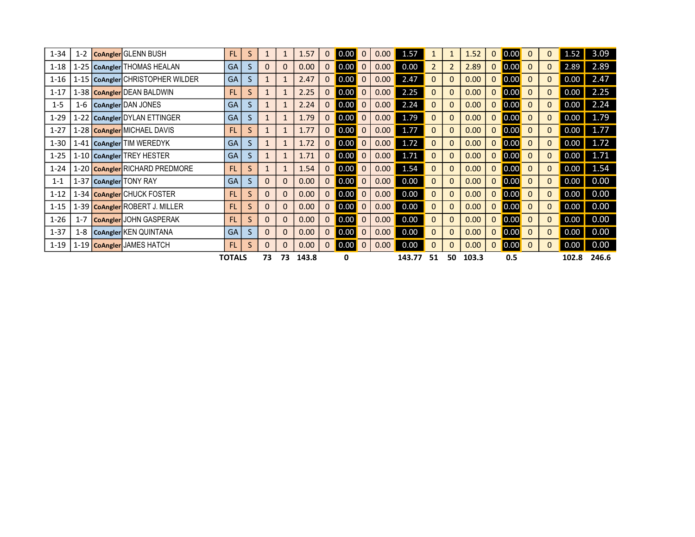| $1 - 34$ | $1 - 2$ | CoAngler GLENN BUSH                | <b>FL</b>     | S. | $\mathbf{1}$ |             | 1.57  | 0 | 0.00 | 0.00 | 1.57   |                | $\mathbf{1}$   | 1.52  | 0            | $\vert 0.00 \vert$ | $\mathbf{0}$ | 0 | 1.52  | 3.09  |
|----------|---------|------------------------------------|---------------|----|--------------|-------------|-------|---|------|------|--------|----------------|----------------|-------|--------------|--------------------|--------------|---|-------|-------|
| $1 - 18$ |         | 1-25   CoAngler   THOMAS HEALAN    | <b>GA</b>     | S. | $\mathbf 0$  | $\mathbf 0$ | 0.00  | 0 | 0.00 | 0.00 | 0.00   | $\overline{2}$ | $\overline{2}$ | 2.89  | $\mathbf{0}$ | $\vert$ 0.00       | $\mathbf{0}$ | 0 | 2.89  | 2.89  |
| $1 - 16$ |         | 1-15   CoAngler CHRISTOPHER WILDER | <b>GA</b>     | S. | $\mathbf{1}$ | 1           | 2.47  | 0 | 0.00 | 0.00 | 2.47   | 0              | $\Omega$       | 0.00  |              | $\vert$ 0.00       | $\mathbf{0}$ | 0 | 0.00  | 2.47  |
| $1 - 17$ |         | 1-38 CoAngler DEAN BALDWIN         | <b>FL</b>     | S. | $\mathbf{1}$ |             | 2.25  | 0 | 0.00 | 0.00 | 2.25   |                | $\Omega$       | 0.00  | 0            | $\vert$ 0.00       | $\Omega$     | 0 | 0.00  | 2.25  |
| $1 - 5$  | 1-6     | CoAngler DAN JONES                 | <b>GA</b>     | S. | 1            |             | 2.24  | 0 | 0.00 | 0.00 | 2.24   | 0              | $\mathbf{0}$   | 0.00  | 0            | $\vert$ 0.00       | $\mathbf{0}$ | 0 | 0.00  | 2.24  |
| $1 - 29$ |         | 1-22   CoAngler DYLAN ETTINGER     | <b>GA</b>     | S. | 1            | 1           | 1.79  | 0 | 0.00 | 0.00 | 1.79   | 0              | $\mathbf{0}$   | 0.00  | 0            | $\vert 0.00 \vert$ | $\mathbf{0}$ | 0 | 0.00  | 1.79  |
| $1 - 27$ |         | 1-28 CoAngler MICHAEL DAVIS        | <b>FL</b>     | S. | $\mathbf{1}$ |             | 1.77  | 0 | 0.00 | 0.00 | 1.77   | 0              | $\mathbf{0}$   | 0.00  | 0            | $\vert$ 0.00       | $\mathbf{0}$ | 0 | 0.00  | 1.77  |
| $1 - 30$ |         | 1-41   CoAngler   TIM WEREDYK      | <b>GA</b>     | S. | 1            |             | 1.72  | 0 | 0.00 | 0.00 | 1.72   | 0              | $\Omega$       | 0.00  |              | $\vert 0.00 \vert$ | $\mathbf{0}$ | 0 | 0.00  | 1.72  |
| $1 - 25$ |         | 1-10 CoAngler TREY HESTER          | <b>GA</b>     | S. | $\mathbf{1}$ |             | 1.71  | 0 | 0.00 | 0.00 | 1.71   | 0              | $\mathbf{0}$   | 0.00  | 0            | $\vert 0.00 \vert$ | $\Omega$     | 0 | 0.00  | 1.71  |
| $1 - 24$ |         | 1-20 CoAngler RICHARD PREDMORE     | <b>FL</b>     | S. | $\mathbf{1}$ |             | 1.54  | 0 | 0.00 | 0.00 | 1.54   | 0              | $\Omega$       | 0.00  | 0            | $\vert$ 0.00       | $\mathbf{0}$ | 0 | 0.00  | 1.54  |
| $1 - 1$  |         | 1-37 CoAngler TONY RAY             | <b>GA</b>     | S. | $\mathbf{0}$ | $\mathbf 0$ | 0.00  | 0 | 0.00 | 0.00 | 0.00   | 0              | $\mathbf{0}$   | 0.00  | 0            | $\vert 0.00 \vert$ | $\mathbf{0}$ | 0 | 0.00  | 0.00  |
| $1 - 12$ |         | 1-34   CoAngler CHUCK FOSTER       | <b>FL</b>     | S. | $\Omega$     | $\Omega$    | 0.00  | 0 | 0.00 | 0.00 | 0.00   | 0              | $\mathbf{0}$   | 0.00  | 0            | $\vert$ 0.00       | $\mathbf{0}$ | 0 | 0.00  | 0.00  |
| $1 - 15$ |         | 1-39   CoAngler ROBERT J. MILLER   | <b>FL</b>     | S. | $\mathbf 0$  | $\mathbf 0$ | 0.00  | 0 | 0.00 | 0.00 | 0.00   | 0              | $\mathbf{0}$   | 0.00  | 0            | $\vert$ 0.00       | $\mathbf{0}$ | 0 | 0.00  | 0.00  |
| $1 - 26$ | $1 - 7$ | <b>CoAngler</b> JOHN GASPERAK      | <b>FL</b>     | S. | $\mathbf{0}$ | $\Omega$    | 0.00  | 0 | 0.00 | 0.00 | 0.00   | 0              | $\Omega$       | 0.00  | 0            | $\vert$ 0.00       | $\mathbf{0}$ | 0 | 0.00  | 0.00  |
| $1 - 37$ | $1 - 8$ | CoAngler KEN QUINTANA              | <b>GA</b>     | S. | $\mathbf{0}$ | $\mathbf 0$ | 0.00  | 0 | 0.00 | 0.00 | 0.00   | 0              | $\mathbf{0}$   | 0.00  | $\mathbf{0}$ | $\vert$ 0.00       | $\mathbf{0}$ | 0 | 0.00  | 0.00  |
| $1 - 19$ |         | 1-19 CoAngler JAMES HATCH          | <b>FL</b>     | S. | 0            | $\Omega$    | 0.00  | 0 | 0.00 | 0.00 | 0.00   |                | $\mathbf{0}$   | 0.00  |              | $\vert$ 0.00       | $\mathbf{0}$ | 0 | 0.00  | 0.00  |
|          |         |                                    | <b>TOTALS</b> |    | 73           | 73          | 143.8 |   | 0    |      | 143.77 | 51             | 50             | 103.3 |              | 0.5                |              |   | 102.8 | 246.6 |